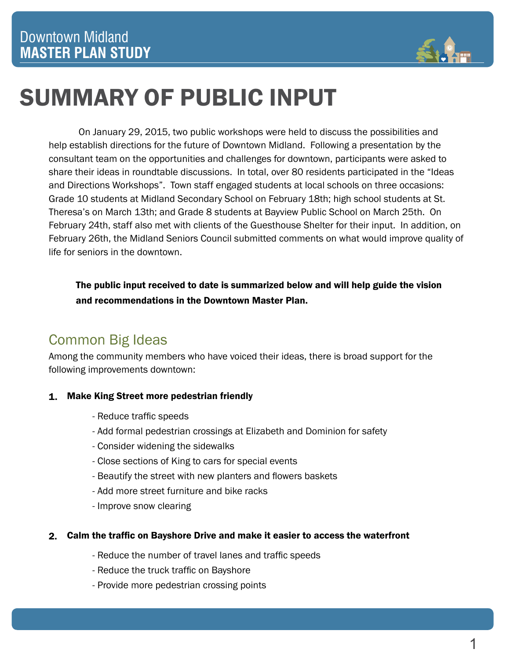

# SUMMARY OF PUBLIC INPUT

On January 29, 2015, two public workshops were held to discuss the possibilities and help establish directions for the future of Downtown Midland. Following a presentation by the consultant team on the opportunities and challenges for downtown, participants were asked to share their ideas in roundtable discussions. In total, over 80 residents participated in the "Ideas and Directions Workshops". Town staff engaged students at local schools on three occasions: Grade 10 students at Midland Secondary School on February 18th; high school students at St. Theresa's on March 13th; and Grade 8 students at Bayview Public School on March 25th. On February 24th, staff also met with clients of the Guesthouse Shelter for their input. In addition, on February 26th, the Midland Seniors Council submitted comments on what would improve quality of life for seniors in the downtown.

The public input received to date is summarized below and will help guide the vision and recommendations in the Downtown Master Plan.

## Common Big Ideas

Among the community members who have voiced their ideas, there is broad support for the following improvements downtown:

### Make King Street more pedestrian friendly 1.

- Reduce traffic speeds
- Add formal pedestrian crossings at Elizabeth and Dominion for safety
- Consider widening the sidewalks
- Close sections of King to cars for special events
- Beautify the street with new planters and flowers baskets
- Add more street furniture and bike racks
- Improve snow clearing

#### Calm the traffic on Bayshore Drive and make it easier to access the waterfront 2.

- Reduce the number of travel lanes and traffic speeds
- Reduce the truck traffic on Bayshore
- Provide more pedestrian crossing points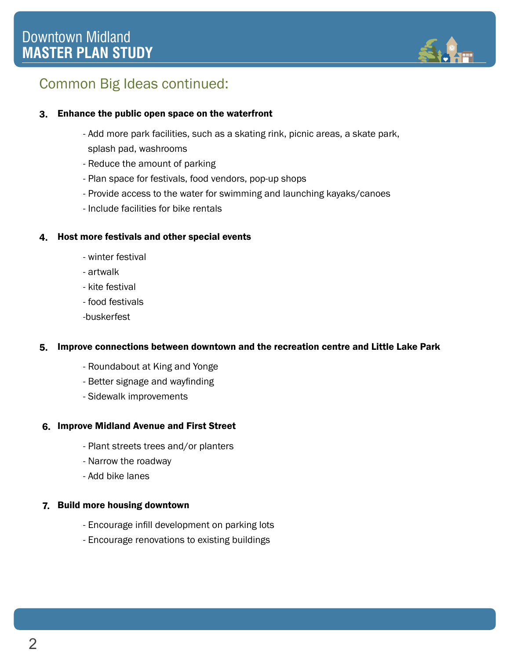

## Common Big Ideas continued:

### Enhance the public open space on the waterfront 3.

- Add more park facilities, such as a skating rink, picnic areas, a skate park, splash pad, washrooms
- Reduce the amount of parking
- Plan space for festivals, food vendors, pop-up shops
- Provide access to the water for swimming and launching kayaks/canoes
- Include facilities for bike rentals

#### Host more festivals and other special events 4.

- winter festival
- artwalk
- kite festival
- food festivals
- -buskerfest

#### Improve connections between downtown and the recreation centre and Little Lake Park 5.

- Roundabout at King and Yonge
- Better signage and wayfinding
- Sidewalk improvements

#### 6. Improve Midland Avenue and First Street

- Plant streets trees and/or planters
- Narrow the roadway
- Add bike lanes

### 7. Build more housing downtown

- Encourage infill development on parking lots
- Encourage renovations to existing buildings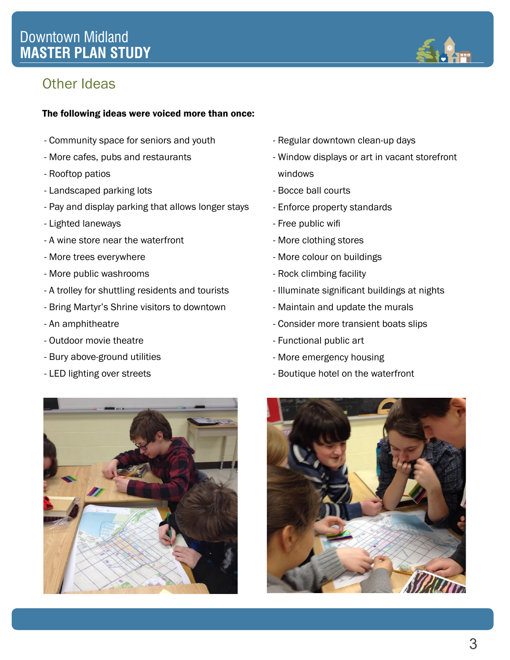### Downtown Midland **MASTER PLAN STUDY**



### Other Ideas

#### The following ideas were voiced more than once:

- Community space for seniors and youth
- More cafes, pubs and restaurants
- Rooftop patios
- Landscaped parking lots
- Pay and display parking that allows longer stays
- Lighted laneways
- A wine store near the waterfront
- More trees everywhere
- More public washrooms
- A trolley for shuttling residents and tourists
- Bring Martyr's Shrine visitors to downtown
- An amphitheatre
- Outdoor movie theatre
- Bury above-ground utilities
- LED lighting over streets



- Regular downtown clean-up days
- Window displays or art in vacant storefront windows
- Bocce ball courts
- Enforce property standards
- Free public wifi
- More clothing stores
- More colour on buildings
- Rock climbing facility
- Illuminate significant buildings at nights
- Maintain and update the murals
- Consider more transient boats slips
- Functional public art
- More emergency housing
- Boutique hotel on the waterfront